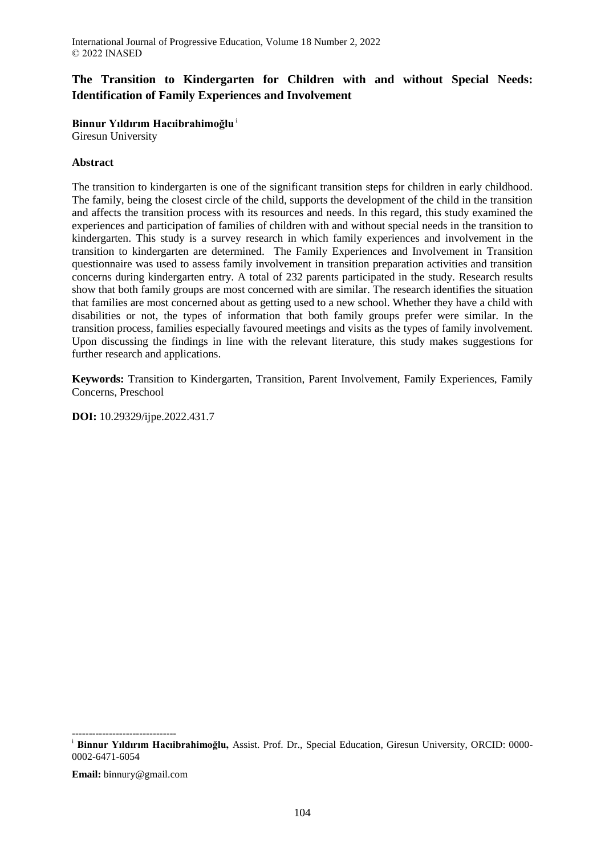# **The Transition to Kindergarten for Children with and without Special Needs: Identification of Family Experiences and Involvement**

**Binnur Yıldırım Hacıibrahimoğlu**<sup>i</sup>

Giresun University

# **Abstract**

The transition to kindergarten is one of the significant transition steps for children in early childhood. The family, being the closest circle of the child, supports the development of the child in the transition and affects the transition process with its resources and needs. In this regard, this study examined the experiences and participation of families of children with and without special needs in the transition to kindergarten. This study is a survey research in which family experiences and involvement in the transition to kindergarten are determined. The Family Experiences and Involvement in Transition questionnaire was used to assess family involvement in transition preparation activities and transition concerns during kindergarten entry. A total of 232 parents participated in the study. Research results show that both family groups are most concerned with are similar. The research identifies the situation that families are most concerned about as getting used to a new school. Whether they have a child with disabilities or not, the types of information that both family groups prefer were similar. In the transition process, families especially favoured meetings and visits as the types of family involvement. Upon discussing the findings in line with the relevant literature, this study makes suggestions for further research and applications.

**Keywords:** Transition to Kindergarten, Transition, Parent Involvement, Family Experiences, Family Concerns, Preschool

**DOI:** 10.29329/ijpe.2022.431.7

**Email:** binnury@gmail.com

<sup>------------------------------</sup> <sup>i</sup> **Binnur Yıldırım Hacıibrahimoğlu,** Assist. Prof. Dr., Special Education, Giresun University, ORCID: 0000- 0002-6471-6054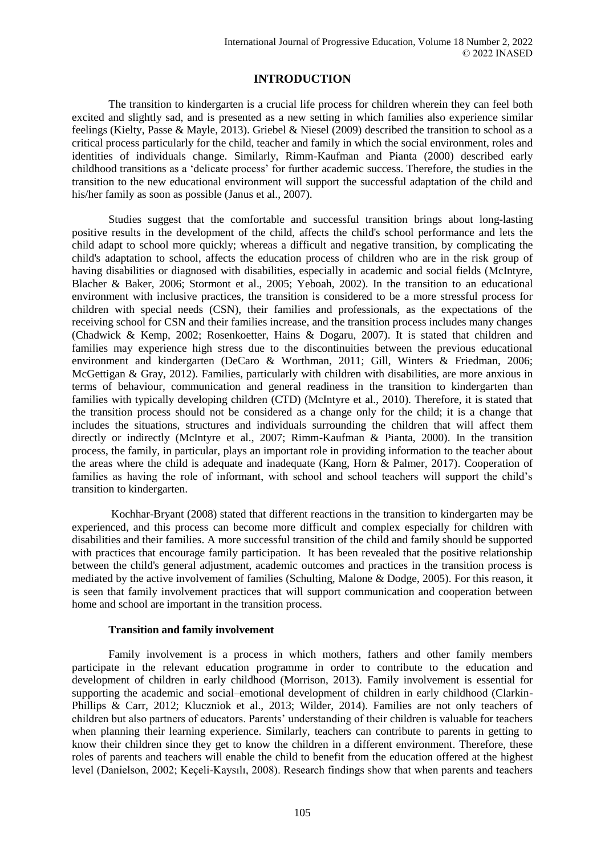# **INTRODUCTION**

The transition to kindergarten is a crucial life process for children wherein they can feel both excited and slightly sad, and is presented as a new setting in which families also experience similar feelings (Kielty, Passe & Mayle, 2013). Griebel & Niesel (2009) described the transition to school as a critical process particularly for the child, teacher and family in which the social environment, roles and identities of individuals change. Similarly, Rimm-Kaufman and Pianta (2000) described early childhood transitions as a 'delicate process' for further academic success. Therefore, the studies in the transition to the new educational environment will support the successful adaptation of the child and his/her family as soon as possible (Janus et al., 2007).

Studies suggest that the comfortable and successful transition brings about long-lasting positive results in the development of the child, affects the child's school performance and lets the child adapt to school more quickly; whereas a difficult and negative transition, by complicating the child's adaptation to school, affects the education process of children who are in the risk group of having disabilities or diagnosed with disabilities, especially in academic and social fields (McIntyre, Blacher & Baker, 2006; Stormont et al., 2005; Yeboah, 2002). In the transition to an educational environment with inclusive practices, the transition is considered to be a more stressful process for children with special needs (CSN), their families and professionals, as the expectations of the receiving school for CSN and their families increase, and the transition process includes many changes (Chadwick & Kemp, 2002; Rosenkoetter, Hains & Dogaru, 2007). It is stated that children and families may experience high stress due to the discontinuities between the previous educational environment and kindergarten (DeCaro & Worthman, 2011; Gill, Winters & Friedman, 2006; McGettigan & Gray, 2012). Families, particularly with children with disabilities, are more anxious in terms of behaviour, communication and general readiness in the transition to kindergarten than families with typically developing children (CTD) (McIntyre et al., 2010). Therefore, it is stated that the transition process should not be considered as a change only for the child; it is a change that includes the situations, structures and individuals surrounding the children that will affect them directly or indirectly (McIntyre et al., 2007; Rimm-Kaufman & Pianta, 2000). In the transition process, the family, in particular, plays an important role in providing information to the teacher about the areas where the child is adequate and inadequate (Kang, Horn & Palmer, 2017). Cooperation of families as having the role of informant, with school and school teachers will support the child's transition to kindergarten.

Kochhar-Bryant (2008) stated that different reactions in the transition to kindergarten may be experienced, and this process can become more difficult and complex especially for children with disabilities and their families. A more successful transition of the child and family should be supported with practices that encourage family participation. It has been revealed that the positive relationship between the child's general adjustment, academic outcomes and practices in the transition process is mediated by the active involvement of families (Schulting, Malone & Dodge, 2005). For this reason, it is seen that family involvement practices that will support communication and cooperation between home and school are important in the transition process.

#### **Transition and family involvement**

Family involvement is a process in which mothers, fathers and other family members participate in the relevant education programme in order to contribute to the education and development of children in early childhood (Morrison, 2013). Family involvement is essential for supporting the academic and social–emotional development of children in early childhood (Clarkin-Phillips & Carr, 2012; Kluczniok et al., 2013; Wilder, 2014). Families are not only teachers of children but also partners of educators. Parents' understanding of their children is valuable for teachers when planning their learning experience. Similarly, teachers can contribute to parents in getting to know their children since they get to know the children in a different environment. Therefore, these roles of parents and teachers will enable the child to benefit from the education offered at the highest level (Danielson, 2002; Keçeli-Kaysılı, 2008). Research findings show that when parents and teachers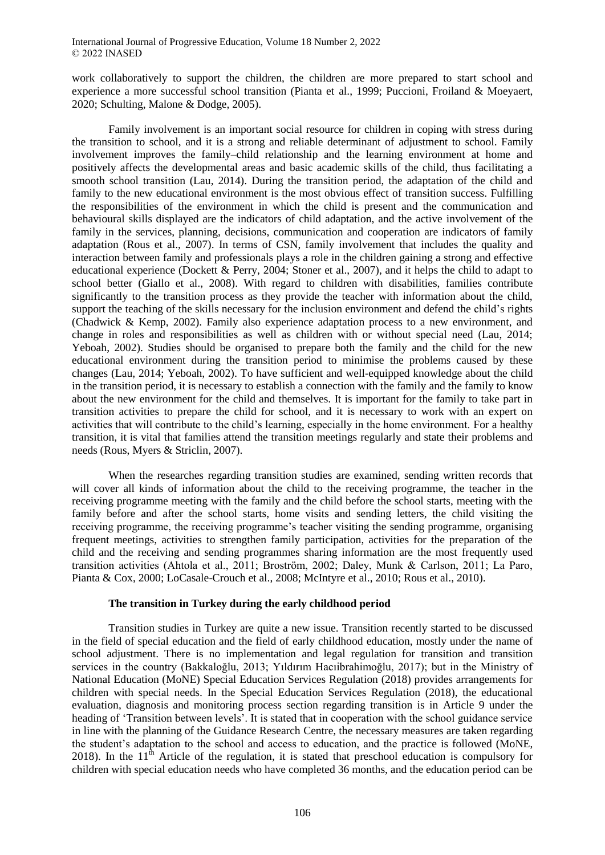work collaboratively to support the children, the children are more prepared to start school and experience a more successful school transition (Pianta et al., 1999; Puccioni, Froiland & Moeyaert, 2020; Schulting, Malone & Dodge, 2005).

Family involvement is an important social resource for children in coping with stress during the transition to school, and it is a strong and reliable determinant of adjustment to school. Family involvement improves the family–child relationship and the learning environment at home and positively affects the developmental areas and basic academic skills of the child, thus facilitating a smooth school transition (Lau, 2014). During the transition period, the adaptation of the child and family to the new educational environment is the most obvious effect of transition success. Fulfilling the responsibilities of the environment in which the child is present and the communication and behavioural skills displayed are the indicators of child adaptation, and the active involvement of the family in the services, planning, decisions, communication and cooperation are indicators of family adaptation (Rous et al., 2007). In terms of CSN, family involvement that includes the quality and interaction between family and professionals plays a role in the children gaining a strong and effective educational experience (Dockett & Perry, 2004; Stoner et al., 2007), and it helps the child to adapt to school better (Giallo et al., 2008). With regard to children with disabilities, families contribute significantly to the transition process as they provide the teacher with information about the child, support the teaching of the skills necessary for the inclusion environment and defend the child's rights (Chadwick & Kemp, 2002). Family also experience adaptation process to a new environment, and change in roles and responsibilities as well as children with or without special need (Lau, 2014; Yeboah, 2002). Studies should be organised to prepare both the family and the child for the new educational environment during the transition period to minimise the problems caused by these changes (Lau, 2014; Yeboah, 2002). To have sufficient and well-equipped knowledge about the child in the transition period, it is necessary to establish a connection with the family and the family to know about the new environment for the child and themselves. It is important for the family to take part in transition activities to prepare the child for school, and it is necessary to work with an expert on activities that will contribute to the child's learning, especially in the home environment. For a healthy transition, it is vital that families attend the transition meetings regularly and state their problems and needs (Rous, Myers & Striclin, 2007).

When the researches regarding transition studies are examined, sending written records that will cover all kinds of information about the child to the receiving programme, the teacher in the receiving programme meeting with the family and the child before the school starts, meeting with the family before and after the school starts, home visits and sending letters, the child visiting the receiving programme, the receiving programme's teacher visiting the sending programme, organising frequent meetings, activities to strengthen family participation, activities for the preparation of the child and the receiving and sending programmes sharing information are the most frequently used transition activities (Ahtola et al., 2011; Broström, 2002; Daley, Munk & Carlson, 2011; La Paro, Pianta & Cox, 2000; LoCasale-Crouch et al., 2008; McIntyre et al., 2010; Rous et al., 2010).

#### **The transition in Turkey during the early childhood period**

Transition studies in Turkey are quite a new issue. Transition recently started to be discussed in the field of special education and the field of early childhood education, mostly under the name of school adjustment. There is no implementation and legal regulation for transition and transition services in the country (Bakkaloğlu, 2013; Yıldırım Hacıibrahimoğlu, 2017); but in the Ministry of National Education (MoNE) Special Education Services Regulation (2018) provides arrangements for children with special needs. In the Special Education Services Regulation (2018), the educational evaluation, diagnosis and monitoring process section regarding transition is in Article 9 under the heading of 'Transition between levels'. It is stated that in cooperation with the school guidance service in line with the planning of the Guidance Research Centre, the necessary measures are taken regarding the student's adaptation to the school and access to education, and the practice is followed (MoNE, 2018). In the  $11<sup>th</sup>$  Article of the regulation, it is stated that preschool education is compulsory for children with special education needs who have completed 36 months, and the education period can be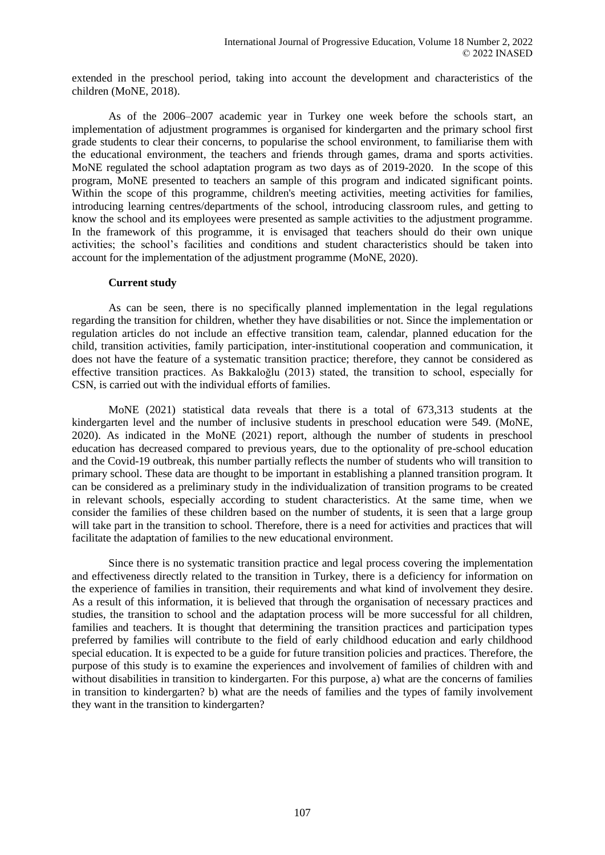extended in the preschool period, taking into account the development and characteristics of the children (MoNE, 2018).

As of the 2006–2007 academic year in Turkey one week before the schools start, an implementation of adjustment programmes is organised for kindergarten and the primary school first grade students to clear their concerns, to popularise the school environment, to familiarise them with the educational environment, the teachers and friends through games, drama and sports activities. MoNE regulated the school adaptation program as two days as of 2019-2020. In the scope of this program, MoNE presented to teachers an sample of this program and indicated significant points. Within the scope of this programme, children's meeting activities, meeting activities for families, introducing learning centres/departments of the school, introducing classroom rules, and getting to know the school and its employees were presented as sample activities to the adjustment programme. In the framework of this programme, it is envisaged that teachers should do their own unique activities; the school's facilities and conditions and student characteristics should be taken into account for the implementation of the adjustment programme (MoNE, 2020).

#### **Current study**

As can be seen, there is no specifically planned implementation in the legal regulations regarding the transition for children, whether they have disabilities or not. Since the implementation or regulation articles do not include an effective transition team, calendar, planned education for the child, transition activities, family participation, inter-institutional cooperation and communication, it does not have the feature of a systematic transition practice; therefore, they cannot be considered as effective transition practices. As Bakkaloğlu (2013) stated, the transition to school, especially for CSN, is carried out with the individual efforts of families.

MoNE (2021) statistical data reveals that there is a total of 673,313 students at the kindergarten level and the number of inclusive students in preschool education were 549. (MoNE, 2020). As indicated in the MoNE (2021) report, although the number of students in preschool education has decreased compared to previous years, due to the optionality of pre-school education and the Covid-19 outbreak, this number partially reflects the number of students who will transition to primary school. These data are thought to be important in establishing a planned transition program. It can be considered as a preliminary study in the individualization of transition programs to be created in relevant schools, especially according to student characteristics. At the same time, when we consider the families of these children based on the number of students, it is seen that a large group will take part in the transition to school. Therefore, there is a need for activities and practices that will facilitate the adaptation of families to the new educational environment.

Since there is no systematic transition practice and legal process covering the implementation and effectiveness directly related to the transition in Turkey, there is a deficiency for information on the experience of families in transition, their requirements and what kind of involvement they desire. As a result of this information, it is believed that through the organisation of necessary practices and studies, the transition to school and the adaptation process will be more successful for all children, families and teachers. It is thought that determining the transition practices and participation types preferred by families will contribute to the field of early childhood education and early childhood special education. It is expected to be a guide for future transition policies and practices. Therefore, the purpose of this study is to examine the experiences and involvement of families of children with and without disabilities in transition to kindergarten. For this purpose, a) what are the concerns of families in transition to kindergarten? b) what are the needs of families and the types of family involvement they want in the transition to kindergarten?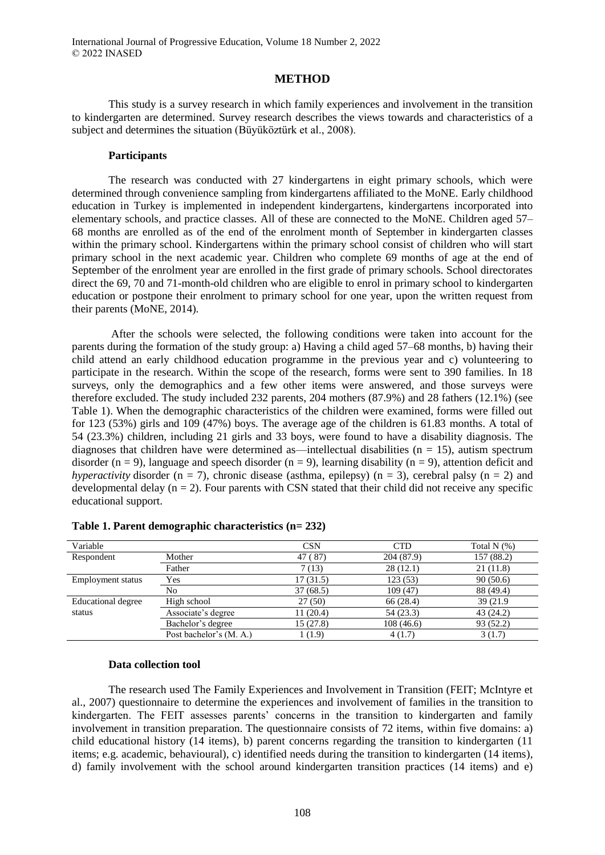#### **METHOD**

This study is a survey research in which family experiences and involvement in the transition to kindergarten are determined. Survey research describes the views towards and characteristics of a subject and determines the situation (Büyüköztürk et al., 2008).

#### **Participants**

The research was conducted with 27 kindergartens in eight primary schools, which were determined through convenience sampling from kindergartens affiliated to the MoNE. Early childhood education in Turkey is implemented in independent kindergartens, kindergartens incorporated into elementary schools, and practice classes. All of these are connected to the MoNE. Children aged 57– 68 months are enrolled as of the end of the enrolment month of September in kindergarten classes within the primary school. Kindergartens within the primary school consist of children who will start primary school in the next academic year. Children who complete 69 months of age at the end of September of the enrolment year are enrolled in the first grade of primary schools. School directorates direct the 69, 70 and 71-month-old children who are eligible to enrol in primary school to kindergarten education or postpone their enrolment to primary school for one year, upon the written request from their parents (MoNE, 2014).

After the schools were selected, the following conditions were taken into account for the parents during the formation of the study group: a) Having a child aged 57–68 months, b) having their child attend an early childhood education programme in the previous year and c) volunteering to participate in the research. Within the scope of the research, forms were sent to 390 families. In 18 surveys, only the demographics and a few other items were answered, and those surveys were therefore excluded. The study included 232 parents, 204 mothers (87.9%) and 28 fathers (12.1%) (see Table 1). When the demographic characteristics of the children were examined, forms were filled out for 123 (53%) girls and 109 (47%) boys. The average age of the children is 61.83 months. A total of 54 (23.3%) children, including 21 girls and 33 boys, were found to have a disability diagnosis. The diagnoses that children have were determined as—intellectual disabilities ( $n = 15$ ), autism spectrum disorder (n = 9), language and speech disorder (n = 9), learning disability (n = 9), attention deficit and *hyperactivity* disorder ( $n = 7$ ), chronic disease (asthma, epilepsy) ( $n = 3$ ), cerebral palsy ( $n = 2$ ) and developmental delay  $(n = 2)$ . Four parents with CSN stated that their child did not receive any specific educational support.

| Variable           |                         | <b>CSN</b>            | <b>CTD</b> | Total $N$ $(\%)$ |
|--------------------|-------------------------|-----------------------|------------|------------------|
| Respondent         | Mother                  | $^{\circ}87)$<br>47 ( | 204 (87.9) | 157 (88.2)       |
|                    | Father                  | 7 (13)                | 28(12.1)   | 21(11.8)         |
| Employment status  | Yes                     | 17(31.5)              | 123(53)    | 90(50.6)         |
|                    | No                      | 37(68.5)              | 109(47)    | 88 (49.4)        |
| Educational degree | High school             | 27(50)                | 66 (28.4)  | 39 (21.9)        |
| status             | Associate's degree      | 11(20.4)              | 54 (23.3)  | 43 (24.2)        |
|                    | Bachelor's degree       | 15(27.8)              | 108(46.6)  | 93 (52.2)        |
|                    | Post bachelor's (M. A.) | 1(1.9)                | 4(1.7)     | 3(1.7)           |

| Table 1. Parent demographic characteristics (n= 232) |  |  |  |  |
|------------------------------------------------------|--|--|--|--|
|------------------------------------------------------|--|--|--|--|

#### **Data collection tool**

The research used The Family Experiences and Involvement in Transition (FEIT; McIntyre et al., 2007) questionnaire to determine the experiences and involvement of families in the transition to kindergarten. The FEIT assesses parents' concerns in the transition to kindergarten and family involvement in transition preparation. The questionnaire consists of 72 items, within five domains: a) child educational history (14 items), b) parent concerns regarding the transition to kindergarten (11 items; e.g. academic, behavioural), c) identified needs during the transition to kindergarten (14 items), d) family involvement with the school around kindergarten transition practices (14 items) and e)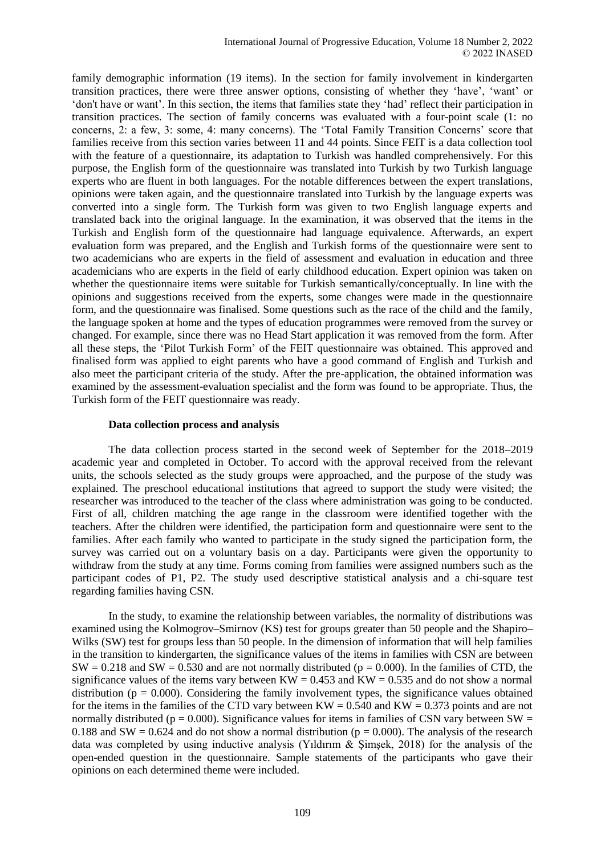family demographic information (19 items). In the section for family involvement in kindergarten transition practices, there were three answer options, consisting of whether they 'have', 'want' or 'don't have or want'. In this section, the items that families state they 'had' reflect their participation in transition practices. The section of family concerns was evaluated with a four-point scale (1: no concerns, 2: a few, 3: some, 4: many concerns). The 'Total Family Transition Concerns' score that families receive from this section varies between 11 and 44 points. Since FEIT is a data collection tool with the feature of a questionnaire, its adaptation to Turkish was handled comprehensively. For this purpose, the English form of the questionnaire was translated into Turkish by two Turkish language experts who are fluent in both languages. For the notable differences between the expert translations, opinions were taken again, and the questionnaire translated into Turkish by the language experts was converted into a single form. The Turkish form was given to two English language experts and translated back into the original language. In the examination, it was observed that the items in the Turkish and English form of the questionnaire had language equivalence. Afterwards, an expert evaluation form was prepared, and the English and Turkish forms of the questionnaire were sent to two academicians who are experts in the field of assessment and evaluation in education and three academicians who are experts in the field of early childhood education. Expert opinion was taken on whether the questionnaire items were suitable for Turkish semantically/conceptually. In line with the opinions and suggestions received from the experts, some changes were made in the questionnaire form, and the questionnaire was finalised. Some questions such as the race of the child and the family, the language spoken at home and the types of education programmes were removed from the survey or changed. For example, since there was no Head Start application it was removed from the form. After all these steps, the 'Pilot Turkish Form' of the FEIT questionnaire was obtained. This approved and finalised form was applied to eight parents who have a good command of English and Turkish and also meet the participant criteria of the study. After the pre-application, the obtained information was examined by the assessment-evaluation specialist and the form was found to be appropriate. Thus, the Turkish form of the FEIT questionnaire was ready.

#### **Data collection process and analysis**

The data collection process started in the second week of September for the 2018–2019 academic year and completed in October. To accord with the approval received from the relevant units, the schools selected as the study groups were approached, and the purpose of the study was explained. The preschool educational institutions that agreed to support the study were visited; the researcher was introduced to the teacher of the class where administration was going to be conducted. First of all, children matching the age range in the classroom were identified together with the teachers. After the children were identified, the participation form and questionnaire were sent to the families. After each family who wanted to participate in the study signed the participation form, the survey was carried out on a voluntary basis on a day. Participants were given the opportunity to withdraw from the study at any time. Forms coming from families were assigned numbers such as the participant codes of P1, P2. The study used descriptive statistical analysis and a chi-square test regarding families having CSN.

In the study, to examine the relationship between variables, the normality of distributions was examined using the Kolmogrov–Smirnov (KS) test for groups greater than 50 people and the Shapiro– Wilks (SW) test for groups less than 50 people. In the dimension of information that will help families in the transition to kindergarten, the significance values of the items in families with CSN are between  $SW = 0.218$  and  $SW = 0.530$  and are not normally distributed ( $p = 0.000$ ). In the families of CTD, the significance values of the items vary between  $KW = 0.453$  and  $KW = 0.535$  and do not show a normal distribution ( $p = 0.000$ ). Considering the family involvement types, the significance values obtained for the items in the families of the CTD vary between  $KW = 0.540$  and  $KW = 0.373$  points and are not normally distributed ( $p = 0.000$ ). Significance values for items in families of CSN vary between SW = 0.188 and SW = 0.624 and do not show a normal distribution ( $p = 0.000$ ). The analysis of the research data was completed by using inductive analysis (Yıldırım & Şimşek, 2018) for the analysis of the open-ended question in the questionnaire. Sample statements of the participants who gave their opinions on each determined theme were included.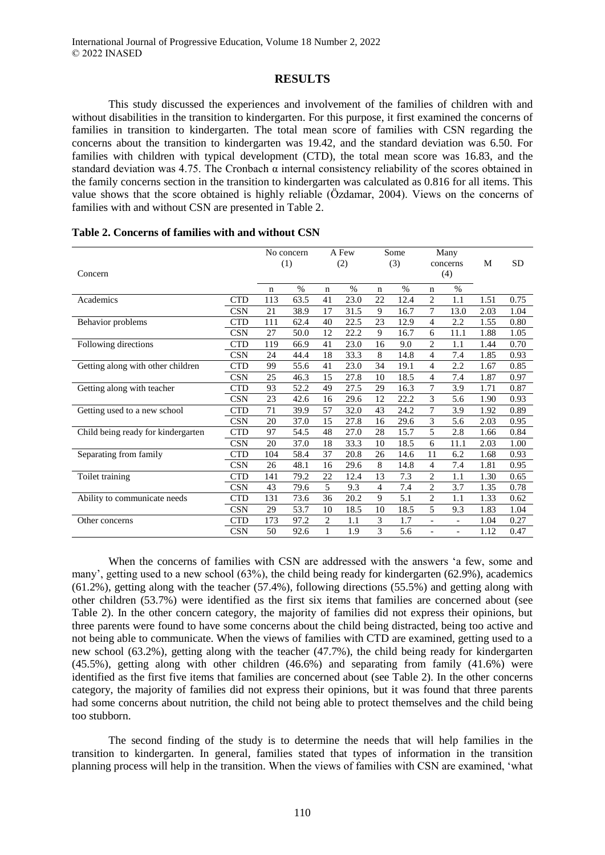# **RESULTS**

This study discussed the experiences and involvement of the families of children with and without disabilities in the transition to kindergarten. For this purpose, it first examined the concerns of families in transition to kindergarten. The total mean score of families with CSN regarding the concerns about the transition to kindergarten was 19.42, and the standard deviation was 6.50. For families with children with typical development (CTD), the total mean score was 16.83, and the standard deviation was 4.75. The Cronbach  $\alpha$  internal consistency reliability of the scores obtained in the family concerns section in the transition to kindergarten was calculated as 0.816 for all items. This value shows that the score obtained is highly reliable (Özdamar, 2004). Views on the concerns of families with and without CSN are presented in Table 2.

|                                    |            |     | No concern |                | A Few |                | Some |                | Many                     |      |           |
|------------------------------------|------------|-----|------------|----------------|-------|----------------|------|----------------|--------------------------|------|-----------|
|                                    |            |     | (1)        |                | (2)   |                | (3)  |                | concerns                 | M    | <b>SD</b> |
| Concern                            |            |     |            |                |       |                |      |                | (4)                      |      |           |
|                                    |            | n   | $\%$       | $\mathbf n$    | $\%$  | $\mathbf n$    | $\%$ | $\mathbf n$    | $\%$                     |      |           |
| Academics                          | <b>CTD</b> | 113 | 63.5       | 41             | 23.0  | 22             | 12.4 | $\overline{c}$ | 1.1                      | 1.51 | 0.75      |
|                                    | <b>CSN</b> | 21  | 38.9       | 17             | 31.5  | 9              | 16.7 | 7              | 13.0                     | 2.03 | 1.04      |
| Behavior problems                  | <b>CTD</b> | 111 | 62.4       | 40             | 22.5  | 23             | 12.9 | 4              | 2.2                      | 1.55 | 0.80      |
|                                    | <b>CSN</b> | 27  | 50.0       | 12             | 22.2  | 9              | 16.7 | 6              | 11.1                     | 1.88 | 1.05      |
| Following directions               | <b>CTD</b> | 119 | 66.9       | 41             | 23.0  | 16             | 9.0  | $\overline{2}$ | 1.1                      | 1.44 | 0.70      |
|                                    | <b>CSN</b> | 24  | 44.4       | 18             | 33.3  | 8              | 14.8 | 4              | 7.4                      | 1.85 | 0.93      |
| Getting along with other children  | <b>CTD</b> | 99  | 55.6       | 41             | 23.0  | 34             | 19.1 | $\overline{4}$ | 2.2                      | 1.67 | 0.85      |
|                                    | <b>CSN</b> | 25  | 46.3       | 15             | 27.8  | 10             | 18.5 | $\overline{4}$ | 7.4                      | 1.87 | 0.97      |
| Getting along with teacher         | <b>CTD</b> | 93  | 52.2       | 49             | 27.5  | 29             | 16.3 | 7              | 3.9                      | 1.71 | 0.87      |
|                                    | <b>CSN</b> | 23  | 42.6       | 16             | 29.6  | 12             | 22.2 | 3              | 5.6                      | 1.90 | 0.93      |
| Getting used to a new school       | <b>CTD</b> | 71  | 39.9       | 57             | 32.0  | 43             | 24.2 | 7              | 3.9                      | 1.92 | 0.89      |
|                                    | <b>CSN</b> | 20  | 37.0       | 15             | 27.8  | 16             | 29.6 | 3              | 5.6                      | 2.03 | 0.95      |
| Child being ready for kindergarten | <b>CTD</b> | 97  | 54.5       | 48             | 27.0  | 28             | 15.7 | 5              | 2.8                      | 1.66 | 0.84      |
|                                    | <b>CSN</b> | 20  | 37.0       | 18             | 33.3  | 10             | 18.5 | 6              | 11.1                     | 2.03 | 1.00      |
| Separating from family             | <b>CTD</b> | 104 | 58.4       | 37             | 20.8  | 26             | 14.6 | 11             | 6.2                      | 1.68 | 0.93      |
|                                    | <b>CSN</b> | 26  | 48.1       | 16             | 29.6  | 8              | 14.8 | 4              | 7.4                      | 1.81 | 0.95      |
| Toilet training                    | <b>CTD</b> | 141 | 79.2       | 22             | 12.4  | 13             | 7.3  | $\overline{2}$ | 1.1                      | 1.30 | 0.65      |
|                                    | <b>CSN</b> | 43  | 79.6       | 5              | 9.3   | $\overline{4}$ | 7.4  | $\overline{2}$ | 3.7                      | 1.35 | 0.78      |
| Ability to communicate needs       | <b>CTD</b> | 131 | 73.6       | 36             | 20.2  | 9              | 5.1  | $\overline{c}$ | 1.1                      | 1.33 | 0.62      |
|                                    | <b>CSN</b> | 29  | 53.7       | 10             | 18.5  | 10             | 18.5 | 5              | 9.3                      | 1.83 | 1.04      |
| Other concerns                     | <b>CTD</b> | 173 | 97.2       | $\overline{2}$ | 1.1   | 3              | 1.7  | $\overline{a}$ | $\overline{\phantom{a}}$ | 1.04 | 0.27      |
|                                    | <b>CSN</b> | 50  | 92.6       | 1              | 1.9   | 3              | 5.6  | $\overline{a}$ | $\overline{\phantom{a}}$ | 1.12 | 0.47      |

|  | Table 2. Concerns of families with and without CSN |  |  |
|--|----------------------------------------------------|--|--|
|  |                                                    |  |  |

When the concerns of families with CSN are addressed with the answers 'a few, some and many', getting used to a new school (63%), the child being ready for kindergarten (62.9%), academics  $(61.2\%)$ , getting along with the teacher  $(57.4\%)$ , following directions  $(55.5\%)$  and getting along with other children (53.7%) were identified as the first six items that families are concerned about (see Table 2). In the other concern category, the majority of families did not express their opinions, but three parents were found to have some concerns about the child being distracted, being too active and not being able to communicate. When the views of families with CTD are examined, getting used to a new school (63.2%), getting along with the teacher (47.7%), the child being ready for kindergarten (45.5%), getting along with other children (46.6%) and separating from family (41.6%) were identified as the first five items that families are concerned about (see Table 2). In the other concerns category, the majority of families did not express their opinions, but it was found that three parents had some concerns about nutrition, the child not being able to protect themselves and the child being too stubborn.

The second finding of the study is to determine the needs that will help families in the transition to kindergarten. In general, families stated that types of information in the transition planning process will help in the transition. When the views of families with CSN are examined, 'what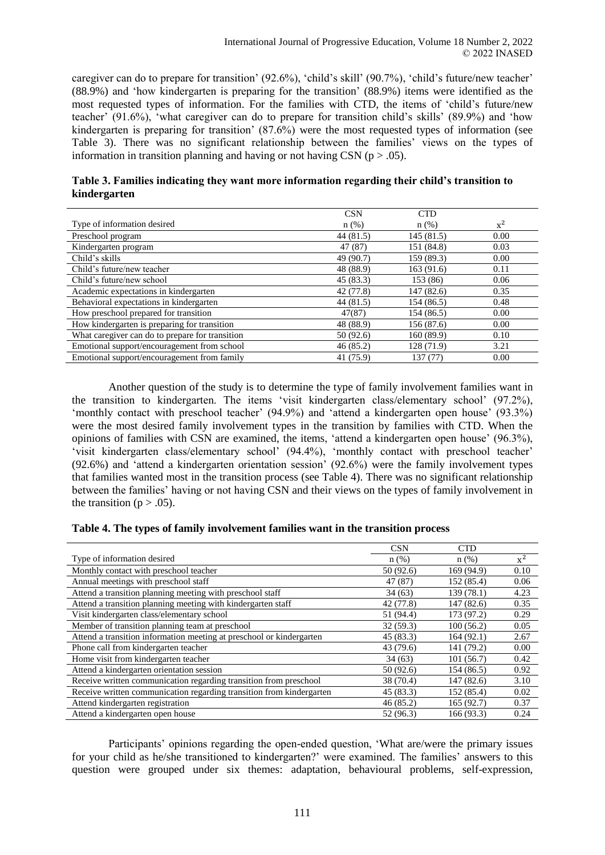caregiver can do to prepare for transition' (92.6%), 'child's skill' (90.7%), 'child's future/new teacher' (88.9%) and 'how kindergarten is preparing for the transition' (88.9%) items were identified as the most requested types of information. For the families with CTD, the items of 'child's future/new teacher' (91.6%), 'what caregiver can do to prepare for transition child's skills' (89.9%) and 'how kindergarten is preparing for transition'  $(87.6\%)$  were the most requested types of information (see Table 3). There was no significant relationship between the families' views on the types of information in transition planning and having or not having CSN ( $p > .05$ ).

|              | Table 3. Families indicating they want more information regarding their child's transition to |
|--------------|-----------------------------------------------------------------------------------------------|
| kindergarten |                                                                                               |

|                                                 | <b>CSN</b> | <b>CTD</b> |       |
|-------------------------------------------------|------------|------------|-------|
| Type of information desired                     | $n(\%)$    | $n$ (%)    | $x^2$ |
| Preschool program                               | 44 (81.5)  | 145(81.5)  | 0.00  |
| Kindergarten program                            | 47 (87)    | 151 (84.8) | 0.03  |
| Child's skills                                  | 49 (90.7)  | 159 (89.3) | 0.00  |
| Child's future/new teacher                      | 48 (88.9)  | 163 (91.6) | 0.11  |
| Child's future/new school                       | 45(83.3)   | 153 (86)   | 0.06  |
| Academic expectations in kindergarten           | 42 (77.8)  | 147 (82.6) | 0.35  |
| Behavioral expectations in kindergarten         | 44 (81.5)  | 154 (86.5) | 0.48  |
| How preschool prepared for transition           | 47(87)     | 154 (86.5) | 0.00  |
| How kindergarten is preparing for transition    | 48 (88.9)  | 156 (87.6) | 0.00  |
| What caregiver can do to prepare for transition | 50 (92.6)  | 160(89.9)  | 0.10  |
| Emotional support/encouragement from school     | 46(85.2)   | 128 (71.9) | 3.21  |
| Emotional support/encouragement from family     | 41 (75.9)  | 137 (77)   | 0.00  |

Another question of the study is to determine the type of family involvement families want in the transition to kindergarten. The items 'visit kindergarten class/elementary school' (97.2%), 'monthly contact with preschool teacher' (94.9%) and 'attend a kindergarten open house' (93.3%) were the most desired family involvement types in the transition by families with CTD. When the opinions of families with CSN are examined, the items, 'attend a kindergarten open house' (96.3%), 'visit kindergarten class/elementary school' (94.4%), 'monthly contact with preschool teacher' (92.6%) and 'attend a kindergarten orientation session' (92.6%) were the family involvement types that families wanted most in the transition process (see Table 4). There was no significant relationship between the families' having or not having CSN and their views on the types of family involvement in the transition ( $p > .05$ ).

#### **Table 4. The types of family involvement families want in the transition process**

|                                                                      | <b>CSN</b> | <b>CTD</b> |       |
|----------------------------------------------------------------------|------------|------------|-------|
| Type of information desired                                          | n(%)       | $n$ (%)    | $x^2$ |
| Monthly contact with preschool teacher                               | 50 (92.6)  | 169 (94.9) | 0.10  |
| Annual meetings with preschool staff                                 | 47 (87)    | 152 (85.4) | 0.06  |
| Attend a transition planning meeting with preschool staff            | 34(63)     | 139 (78.1) | 4.23  |
| Attend a transition planning meeting with kindergarten staff         | 42 (77.8)  | 147 (82.6) | 0.35  |
| Visit kindergarten class/elementary school                           | 51 (94.4)  | 173 (97.2) | 0.29  |
| Member of transition planning team at preschool                      | 32(59.3)   | 100(56.2)  | 0.05  |
| Attend a transition information meeting at preschool or kindergarten | 45 (83.3)  | 164(92.1)  | 2.67  |
| Phone call from kindergarten teacher                                 | 43 (79.6)  | 141 (79.2) | 0.00  |
| Home visit from kindergarten teacher                                 | 34(63)     | 101(56.7)  | 0.42  |
| Attend a kindergarten orientation session                            | 50 (92.6)  | 154 (86.5) | 0.92  |
| Receive written communication regarding transition from preschool    | 38 (70.4)  | 147 (82.6) | 3.10  |
| Receive written communication regarding transition from kindergarten | 45 (83.3)  | 152 (85.4) | 0.02  |
| Attend kindergarten registration                                     | 46(85.2)   | 165(92.7)  | 0.37  |
| Attend a kindergarten open house                                     | 52 (96.3)  | 166(93.3)  | 0.24  |

Participants' opinions regarding the open-ended question, 'What are/were the primary issues for your child as he/she transitioned to kindergarten?' were examined. The families' answers to this question were grouped under six themes: adaptation, behavioural problems, self-expression,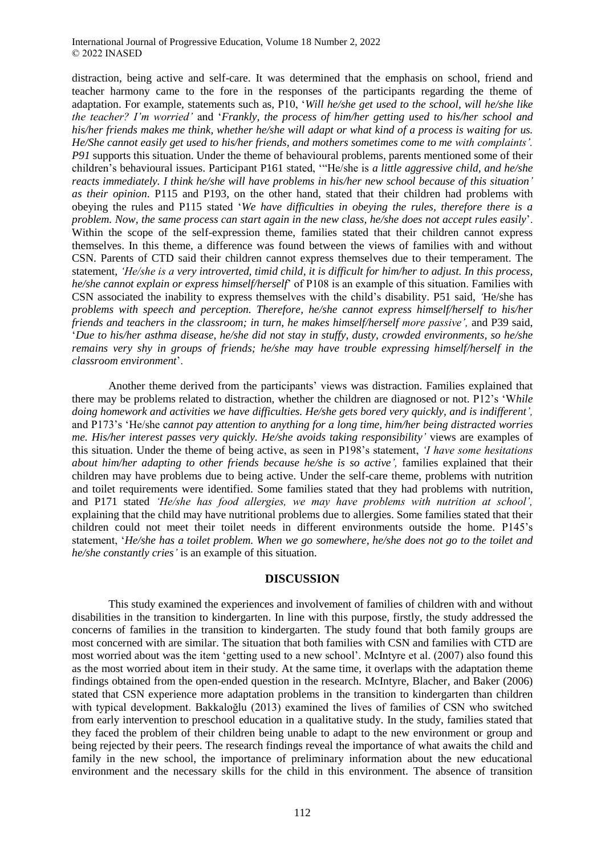distraction, being active and self-care. It was determined that the emphasis on school, friend and teacher harmony came to the fore in the responses of the participants regarding the theme of adaptation. For example, statements such as, P10, '*Will he/she get used to the school, will he/she like the teacher? I'm worried'* and '*Frankly, the process of him/her getting used to his/her school and his/her friends makes me think, whether he/she will adapt or what kind of a process is waiting for us. He/She cannot easily get used to his/her friends, and mothers sometimes come to me with complaints'. P91* supports this situation. Under the theme of behavioural problems, parents mentioned some of their children's behavioural issues. Participant P161 stated, '"He/she is *a little aggressive child, and he/she reacts immediately. I think he/she will have problems in his/her new school because of this situation' as their opinion*. P115 and P193, on the other hand, stated that their children had problems with obeying the rules and P115 stated '*We have difficulties in obeying the rules, therefore there is a problem. Now, the same process can start again in the new class, he/she does not accept rules easily*'. Within the scope of the self-expression theme, families stated that their children cannot express themselves. In this theme, a difference was found between the views of families with and without CSN. Parents of CTD said their children cannot express themselves due to their temperament. The statement, *'He/she is a very introverted, timid child, it is difficult for him/her to adjust. In this process, he/she cannot explain or express himself/herself*' of P108 is an example of this situation. Families with CSN associated the inability to express themselves with the child's disability. P51 said, *'*He/she has *problems with speech and perception. Therefore, he/she cannot express himself/herself to his/her friends and teachers in the classroom; in turn, he makes himself/herself more passive',* and P39 said, '*Due to his/her asthma disease, he/she did not stay in stuffy, dusty, crowded environments, so he/she remains very shy in groups of friends; he/she may have trouble expressing himself/herself in the classroom environment*'.

Another theme derived from the participants' views was distraction. Families explained that there may be problems related to distraction, whether the children are diagnosed or not. P12's 'W*hile doing homework and activities we have difficulties. He/she gets bored very quickly, and is indifferent',* and P173's 'He/she c*annot pay attention to anything for a long time, him/her being distracted worries me. His/her interest passes very quickly. He/she avoids taking responsibility'* views are examples of this situation. Under the theme of being active, as seen in P198's statement, *'I have some hesitations about him/her adapting to other friends because he/she is so active',* families explained that their children may have problems due to being active. Under the self-care theme, problems with nutrition and toilet requirements were identified. Some families stated that they had problems with nutrition, and P171 stated *'He/she has food allergies, we may have problems with nutrition at school',* explaining that the child may have nutritional problems due to allergies. Some families stated that their children could not meet their toilet needs in different environments outside the home. P145's statement, '*He/she has a toilet problem. When we go somewhere, he/she does not go to the toilet and he/she constantly cries'* is an example of this situation.

#### **DISCUSSION**

This study examined the experiences and involvement of families of children with and without disabilities in the transition to kindergarten. In line with this purpose, firstly, the study addressed the concerns of families in the transition to kindergarten. The study found that both family groups are most concerned with are similar. The situation that both families with CSN and families with CTD are most worried about was the item 'getting used to a new school'. McIntyre et al. (2007) also found this as the most worried about item in their study. At the same time, it overlaps with the adaptation theme findings obtained from the open-ended question in the research. McIntyre, Blacher, and Baker (2006) stated that CSN experience more adaptation problems in the transition to kindergarten than children with typical development. Bakkaloğlu (2013) examined the lives of families of CSN who switched from early intervention to preschool education in a qualitative study. In the study, families stated that they faced the problem of their children being unable to adapt to the new environment or group and being rejected by their peers. The research findings reveal the importance of what awaits the child and family in the new school, the importance of preliminary information about the new educational environment and the necessary skills for the child in this environment. The absence of transition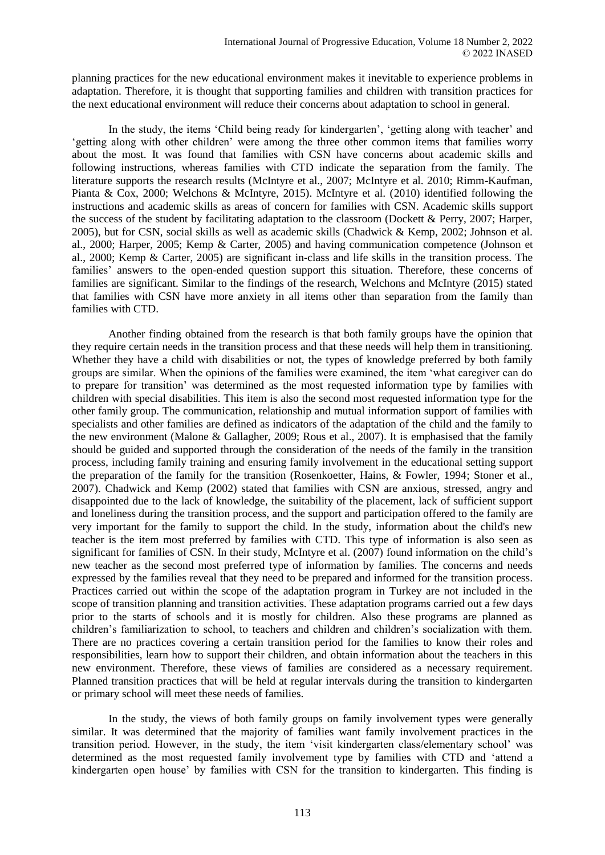planning practices for the new educational environment makes it inevitable to experience problems in adaptation. Therefore, it is thought that supporting families and children with transition practices for the next educational environment will reduce their concerns about adaptation to school in general.

In the study, the items 'Child being ready for kindergarten', 'getting along with teacher' and 'getting along with other children' were among the three other common items that families worry about the most. It was found that families with CSN have concerns about academic skills and following instructions, whereas families with CTD indicate the separation from the family. The literature supports the research results (McIntyre et al., 2007; McIntyre et al. 2010; Rimm-Kaufman, Pianta & Cox, 2000; Welchons & McIntyre, 2015). McIntyre et al. (2010) identified following the instructions and academic skills as areas of concern for families with CSN. Academic skills support the success of the student by facilitating adaptation to the classroom (Dockett & Perry, 2007; Harper, 2005), but for CSN, social skills as well as academic skills (Chadwick & Kemp, 2002; Johnson et al. al., 2000; Harper, 2005; Kemp & Carter, 2005) and having communication competence (Johnson et al., 2000; Kemp & Carter, 2005) are significant in-class and life skills in the transition process. The families' answers to the open-ended question support this situation. Therefore, these concerns of families are significant. Similar to the findings of the research, Welchons and McIntyre (2015) stated that families with CSN have more anxiety in all items other than separation from the family than families with CTD.

Another finding obtained from the research is that both family groups have the opinion that they require certain needs in the transition process and that these needs will help them in transitioning. Whether they have a child with disabilities or not, the types of knowledge preferred by both family groups are similar. When the opinions of the families were examined, the item 'what caregiver can do to prepare for transition' was determined as the most requested information type by families with children with special disabilities. This item is also the second most requested information type for the other family group. The communication, relationship and mutual information support of families with specialists and other families are defined as indicators of the adaptation of the child and the family to the new environment (Malone & Gallagher, 2009; Rous et al., 2007). It is emphasised that the family should be guided and supported through the consideration of the needs of the family in the transition process, including family training and ensuring family involvement in the educational setting support the preparation of the family for the transition (Rosenkoetter, Hains, & Fowler, 1994; Stoner et al., 2007). Chadwick and Kemp (2002) stated that families with CSN are anxious, stressed, angry and disappointed due to the lack of knowledge, the suitability of the placement, lack of sufficient support and loneliness during the transition process, and the support and participation offered to the family are very important for the family to support the child. In the study, information about the child's new teacher is the item most preferred by families with CTD. This type of information is also seen as significant for families of CSN. In their study, McIntyre et al. (2007) found information on the child's new teacher as the second most preferred type of information by families. The concerns and needs expressed by the families reveal that they need to be prepared and informed for the transition process. Practices carried out within the scope of the adaptation program in Turkey are not included in the scope of transition planning and transition activities. These adaptation programs carried out a few days prior to the starts of schools and it is mostly for children. Also these programs are planned as children's familiarization to school, to teachers and children and children's socialization with them. There are no practices covering a certain transition period for the families to know their roles and responsibilities, learn how to support their children, and obtain information about the teachers in this new environment. Therefore, these views of families are considered as a necessary requirement. Planned transition practices that will be held at regular intervals during the transition to kindergarten or primary school will meet these needs of families.

In the study, the views of both family groups on family involvement types were generally similar. It was determined that the majority of families want family involvement practices in the transition period. However, in the study, the item 'visit kindergarten class/elementary school' was determined as the most requested family involvement type by families with CTD and 'attend a kindergarten open house' by families with CSN for the transition to kindergarten. This finding is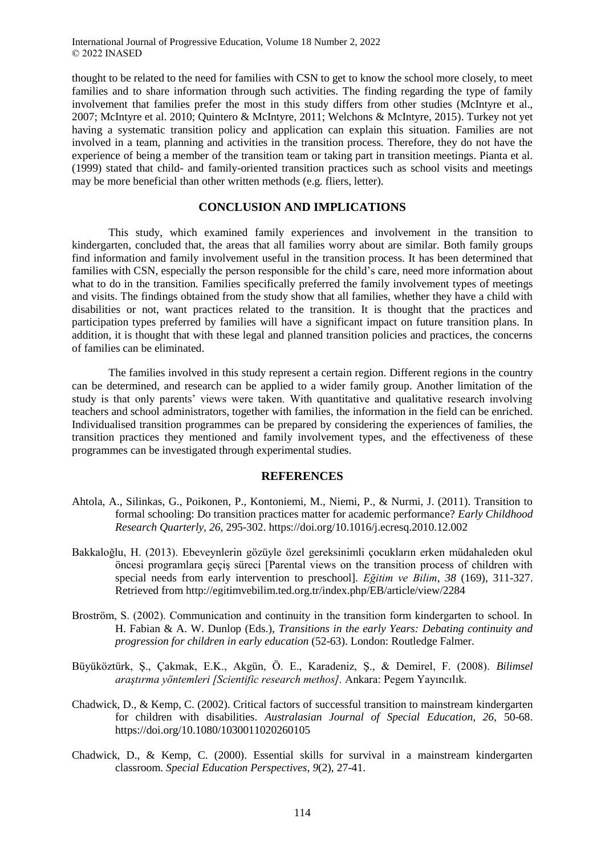thought to be related to the need for families with CSN to get to know the school more closely, to meet families and to share information through such activities. The finding regarding the type of family involvement that families prefer the most in this study differs from other studies (McIntyre et al., 2007; McIntyre et al. 2010; Quintero & McIntyre, 2011; Welchons & McIntyre, 2015). Turkey not yet having a systematic transition policy and application can explain this situation. Families are not involved in a team, planning and activities in the transition process. Therefore, they do not have the experience of being a member of the transition team or taking part in transition meetings. Pianta et al. (1999) stated that child- and family-oriented transition practices such as school visits and meetings may be more beneficial than other written methods (e.g. fliers, letter).

# **CONCLUSION AND IMPLICATIONS**

This study, which examined family experiences and involvement in the transition to kindergarten, concluded that, the areas that all families worry about are similar. Both family groups find information and family involvement useful in the transition process. It has been determined that families with CSN, especially the person responsible for the child's care, need more information about what to do in the transition. Families specifically preferred the family involvement types of meetings and visits. The findings obtained from the study show that all families, whether they have a child with disabilities or not, want practices related to the transition. It is thought that the practices and participation types preferred by families will have a significant impact on future transition plans. In addition, it is thought that with these legal and planned transition policies and practices, the concerns of families can be eliminated.

The families involved in this study represent a certain region. Different regions in the country can be determined, and research can be applied to a wider family group. Another limitation of the study is that only parents' views were taken. With quantitative and qualitative research involving teachers and school administrators, together with families, the information in the field can be enriched. Individualised transition programmes can be prepared by considering the experiences of families, the transition practices they mentioned and family involvement types, and the effectiveness of these programmes can be investigated through experimental studies.

#### **REFERENCES**

- Ahtola, A., Silinkas, G., Poikonen, P., Kontoniemi, M., Niemi, P., & Nurmi, J. (2011). Transition to formal schooling: Do transition practices matter for academic performance? *Early Childhood Research Quarterly, 26,* 295-302. https://doi.org[/10.1016/j.ecresq.2010.12.002](https://doi.org/10.1016/j.ecresq.2010.12.002)
- Bakkaloğlu, H. (2013). Ebeveynlerin gözüyle özel gereksinimli çocukların erken müdahaleden okul öncesi programlara geçiş süreci [Parental views on the transition process of children with special needs from early intervention to preschool]. *Eğitim ve Bilim*, *38* (169), 311-327. Retrieved from http://egitimvebilim.ted.org.tr/index.php/EB/article/view/2284
- Broström, S. (2002). Communication and continuity in the transition form kindergarten to school. In H. Fabian & A. W. Dunlop (Eds.), *Transitions in the early Years: Debating continuity and progression for children in early education* (52-63). London: Routledge Falmer.
- Büyüköztürk, Ş., Çakmak, E.K., Akgün, Ö. E., Karadeniz, Ş., & Demirel, F. (2008). *Bilimsel araştırma yöntemleri [Scientific research methos].* Ankara: Pegem Yayıncılık.
- Chadwick, D., & Kemp, C. (2002). Critical factors of successful transition to mainstream kindergarten for children with disabilities. *Australasian Journal of Special Education, 26,* 50-68. https://doi.org/10.1080/1030011020260105
- Chadwick, D., & Kemp, C. (2000). Essential skills for survival in a mainstream kindergarten classroom. *Special Education Perspectives*, *9*(2), 27-41.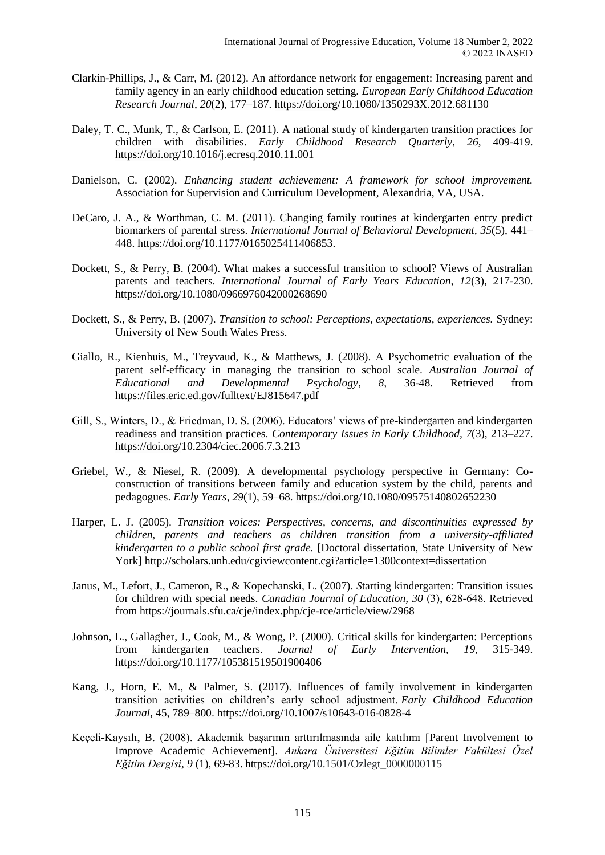- Clarkin-Phillips, J., & Carr, M. (2012). An affordance network for engagement: Increasing parent and family agency in an early childhood education setting. *European Early Childhood Education Research Journal*, *20*(2), 177–187. https://doi.org/10.1080/1350293X.2012.681130
- Daley, T. C., Munk, T., & Carlson, E. (2011). A national study of kindergarten transition practices for children with disabilities. *Early Childhood Research Quarterly*, *26*, 409-419. https://doi.org[/10.1016/j.ecresq.2010.11.001](https://doi.org/10.1016/j.ecresq.2010.11.001)
- Danielson, C. (2002). *Enhancing student achievement: A framework for school improvement.* Association for Supervision and Curriculum Development, Alexandria, VA, USA.
- DeCaro, J. A., & Worthman, C. M. (2011). Changing family routines at kindergarten entry predict biomarkers of parental stress. *International Journal of Behavioral Development, 35*(5), 441– 448. https://doi.org/10.1177/0165025411406853.
- Dockett, S., & Perry, B. (2004). What makes a successful transition to school? Views of Australian parents and teachers. *International Journal of Early Years Education, 12*(3), 217-230. https://doi.org/10.1080/0966976042000268690
- Dockett, S., & Perry, B. (2007). *Transition to school: Perceptions, expectations, experiences.* Sydney: University of New South Wales Press.
- Giallo, R., Kienhuis, M., Treyvaud, K., & Matthews, J. (2008). A Psychometric evaluation of the parent self-efficacy in managing the transition to school scale. *Australian Journal of Educational and Developmental Psychology*, *8,* 36-48. Retrieved from https://files.eric.ed.gov/fulltext/EJ815647.pdf
- Gill, S., Winters, D., & Friedman, D. S. (2006). Educators' views of pre-kindergarten and kindergarten readiness and transition practices. *Contemporary Issues in Early Childhood, 7*(3), 213–227. https://doi.org[/10.2304/ciec.2006.7.3.213](https://doi.org/10.2304%2Fciec.2006.7.3.213)
- Griebel, W., & Niesel, R. (2009). A developmental psychology perspective in Germany: Coconstruction of transitions between family and education system by the child, parents and pedagogues. *Early Years, 29*(1), 59–68. https://doi.org/10.1080/09575140802652230
- Harper, L. J. (2005). *Transition voices: Perspectives, concerns, and discontinuities expressed by children, parents and teachers as children transition from a university-affiliated kindergarten to a public school first grade.* [Doctoral dissertation, State University of New York] http://scholars.unh.edu/cgiviewcontent.cgi?article=1300context=dissertation
- Janus, M., Lefort, J., Cameron, R., & Kopechanski, L. (2007). *S*tarting kindergarten: Transition issues for children with special needs. *Canadian Journal of Education, 30* (3), 628‐648. Retrieved from https://journals.sfu.ca/cje/index.php/cje-rce/article/view/2968
- Johnson, L., Gallagher, J., Cook, M., & Wong, P. (2000). Critical skills for kindergarten: Perceptions from kindergarten teachers. *Journal of Early Intervention, 19*, 315-349. https://doi.org/10.1177/105381519501900406
- Kang, J., Horn, E. M., & Palmer, S. (2017). Influences of family involvement in kindergarten transition activities on children's early school adjustment. *Early Childhood Education Journal,* 45, 789–800. https://doi.org/10.1007/s10643-016-0828-4
- Keçeli-Kaysılı, B. (2008). Akademik başarının arttırılmasında aile katılımı [Parent Involvement to Improve Academic Achievement]. *Ankara Üniversitesi Eğitim Bilimler Fakültesi Özel Eğitim Dergisi*, *9* (1), 69-83. https://doi.org/10.1501/Ozlegt\_0000000115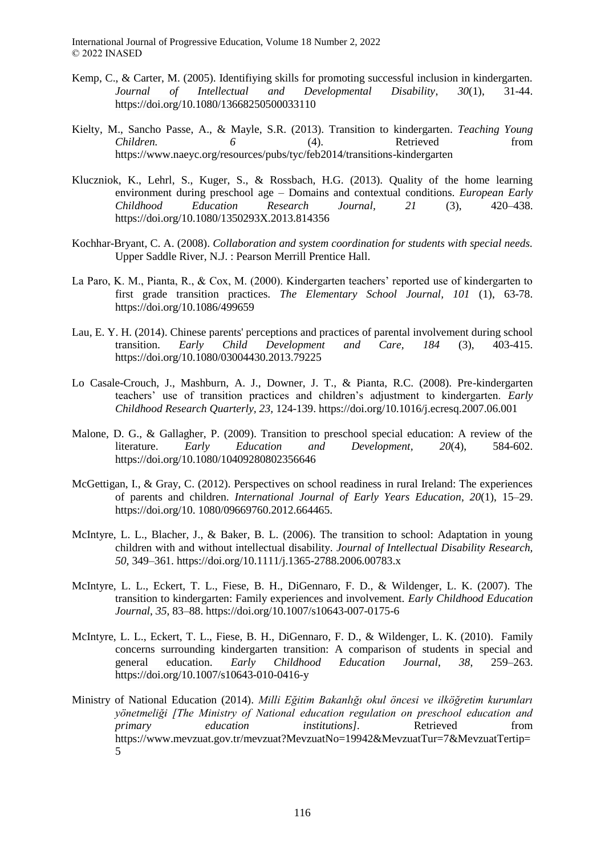- Kemp, C., & Carter, M. (2005). Identifiying skills for promoting successful inclusion in kindergarten. *Journal of Intellectual and Developmental Disability*, *30*(1), 31-44. https://doi.org/10.1080/13668250500033110
- Kielty, M., Sancho Passe, A., & Mayle, S.R. (2013). Transition to kindergarten. *[Teaching Young](https://www.naeyc.org/resources/pubs/tyc)  [Children.](https://www.naeyc.org/resources/pubs/tyc)* 6 **6** (4). Retrieved from https://www.naeyc.org/resources/pubs/tyc/feb2014/transitions-kindergarten
- Kluczniok, K., Lehrl, S., Kuger, S., & Rossbach, H.G. (2013). Quality of the home learning environment during preschool age – Domains and contextual conditions. *European Early Childhood Education Research Journal, 21* (3), 420–438. https://doi.org/10.1080/1350293X.2013.814356
- Kochhar-Bryant, C. A. (2008). *Collaboration and system coordination for students with special needs.*  Upper Saddle River, N.J. : Pearson Merrill Prentice Hall.
- La Paro, K. M., Pianta, R., & Cox, M. (2000). Kindergarten teachers' reported use of kindergarten to first grade transition practices. *The Elementary School Journal, 101* (1), 63-78. https://doi.org/[10.1086/499659](https://www.researchgate.net/deref/http%3A%2F%2Fdx.doi.org%2F10.1086%2F499659)
- Lau, E. Y. H. (2014). Chinese parents' perceptions and practices of parental involvement during school transition. *Early Child Development and Care, 184* (3), 403-415. https://doi.org/10.1080/03004430.2013.79225
- Lo Casale-Crouch, J., Mashburn, A. J., Downer, J. T., & Pianta, R.C. (2008). Pre-kindergarten teachers' use of transition practices and children's adjustment to kindergarten. *Early Childhood Research Quarterly, 23,* 124-139. https://doi.org[/10.1016/j.ecresq.2007.06.001](https://www.researchgate.net/deref/http%3A%2F%2Fdx.doi.org%2F10.1016%2Fj.ecresq.2007.06.001)
- Malone, D. G., & Gallagher, P. (2009). Transition to preschool special education: A review of the literature. *Early Education and Development, 20*(4), 584-602. https://doi.org/10.1080/10409280802356646
- McGettigan, I., & Gray, C. (2012). Perspectives on school readiness in rural Ireland: The experiences of parents and children. *International Journal of Early Years Education*, *20*(1), 15–29. https://doi.org/10. 1080/09669760.2012.664465.
- McIntyre, L. L., Blacher, J., & Baker, B. L. (2006). The transition to school: Adaptation in young children with and without intellectual disability. *Journal of Intellectual Disability Research, 50,* 349–361. https://doi.org[/10.1111/j.1365-2788.2006.00783.x](https://www.researchgate.net/deref/http%3A%2F%2Fdx.doi.org%2F10.1111%2Fj.1365-2788.2006.00783.x)
- McIntyre, L. L., Eckert, T. L., Fiese, B. H., DiGennaro, F. D., & Wildenger, L. K. (2007). The transition to kindergarten: Family experiences and involvement. *Early Childhood Education Journal*, *35*, 83–88. https://doi.org[/10.1007/s10643-007-0175-6](https://www.researchgate.net/deref/http%3A%2F%2Fdx.doi.org%2F10.1007%2Fs10643-007-0175-6)
- McIntyre, L. L., Eckert, T. L., Fiese, B. H., DiGennaro, F. D., & Wildenger, L. K. (2010). Family concerns surrounding kindergarten transition: A comparison of students in special and general education. *Early Childhood Education Journal*, *38*, 259–263. https://doi.org[/10.1007/s10643-010-0416-y](https://doi.org/10.1007/s10643-010-0416-y)
- Ministry of National Education (2014). *Milli Eğitim Bakanlığı okul öncesi ve ilköğretim kurumları yönetmeliği [The Ministry of National education regulation on preschool education and primary education institutions].* Retrieved from https://www.mevzuat.gov.tr/mevzuat?MevzuatNo=19942&MevzuatTur=7&MevzuatTertip= 5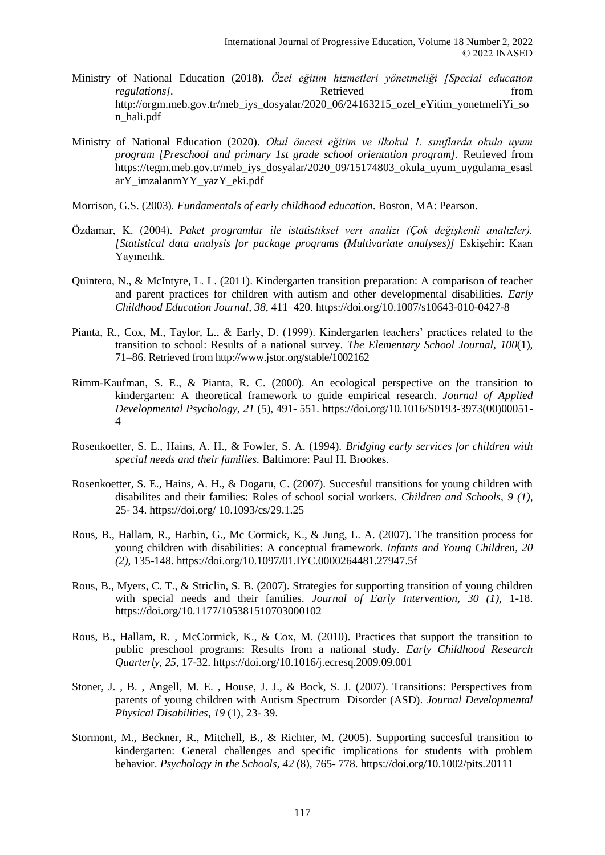- Ministry of National Education (2018). *Özel eğitim hizmetleri yönetmeliği [Special education regulations].* Retrieved from *regulations from* [http://orgm.meb.gov.tr/meb\\_iys\\_dosyalar/2020\\_06/24163215\\_ozel\\_eYitim\\_yonetmeliYi\\_so](http://orgm.meb.gov.tr/meb_iys_dosyalar/2020_06/24163215_ozel_eYitim_yonetmeliYi_son_hali.pdf) [n\\_hali.pdf](http://orgm.meb.gov.tr/meb_iys_dosyalar/2020_06/24163215_ozel_eYitim_yonetmeliYi_son_hali.pdf)
- Ministry of National Education (2020). *Okul öncesi eğitim ve ilkokul 1. sınıflarda okula uyum program [Preschool and primary 1st grade school orientation program].* Retrieved from https://tegm.meb.gov.tr/meb\_iys\_dosyalar/2020\_09/15174803\_okula\_uyum\_uygulama\_esasl arY\_imzalanmYY\_yazY\_eki.pdf
- Morrison, G.S. (2003)*. Fundamentals of early childhood education*. Boston, MA: Pearson.
- Özdamar, K. (2004). *Paket programlar ile istatistiksel veri analizi (Çok değişkenli analizler). [Statistical data analysis for package programs (Multivariate analyses)]* Eskişehir: Kaan Yayıncılık.
- Quintero, N., & McIntyre, L. L. (2011). Kindergarten transition preparation: A comparison of teacher and parent practices for children with autism and other developmental disabilities. *Early Childhood Education Journal*, *38*, 411–420. https://doi.org[/10.1007/s10643-010-0427-8](https://doi.org/10.1007/s10643-010-0427-8)
- Pianta, R., Cox, M., Taylor, L., & Early, D. (1999). Kindergarten teachers' practices related to the transition to school: Results of a national survey. *The Elementary School Journal, 100*(1), 71–86. Retrieved from http://www.jstor.org/stable/1002162
- Rimm-Kaufman, S. E., & Pianta, R. C. (2000). An ecological perspective on the transition to kindergarten: A theoretical framework to guide empirical research. *Journal of Applied Developmental Psychology, 21* (5), 491- 551. https://doi.org[/10.1016/S0193-3973\(00\)00051-](https://doi.org/10.1016/S0193-3973%2800%2900051-4) [4](https://doi.org/10.1016/S0193-3973%2800%2900051-4)
- Rosenkoetter, S. E., Hains, A. H., & Fowler, S. A. (1994). *Bridging early services for children with special needs and their families.* Baltimore: Paul H. Brookes.
- Rosenkoetter, S. E., Hains, A. H., & Dogaru, C. (2007). Succesful transitions for young children with disabilites and their families: Roles of school social workers. *Children and Schools*, *9 (1),*  25- 34. https://doi.org/ [10.1093/cs/29.1.25](https://www.researchgate.net/deref/http%3A%2F%2Fdx.doi.org%2F10.1093%2Fcs%2F29.1.25)
- Rous, B., Hallam, R., Harbin, G., Mc Cormick, K., & Jung, L. A. (2007). The transition process for young children with disabilities: A conceptual framework. *Infants and Young Children*, *20 (2),* 135-148. https://doi.org[/10.1097/01.IYC.0000264481.27947.5f](https://www.researchgate.net/deref/http%3A%2F%2Fdx.doi.org%2F10.1097%2F01.IYC.0000264481.27947.5f)
- Rous, B., Myers, C. T., & Striclin, S. B. (2007). Strategies for supporting transition of young children with special needs and their families. *Journal of Early Intervention, 30 (1),* 1-18. https://doi.org/10.1177/105381510703000102
- Rous, B., Hallam, R. , McCormick, K., & Cox, M. (2010). Practices that support the transition to public preschool programs: Results from a national study. *Early Childhood Research Quarterly, 25,* 17-32. https://doi.org[/10.1016/j.ecresq.2009.09.001](https://www.researchgate.net/deref/http%3A%2F%2Fdx.doi.org%2F10.1016%2Fj.ecresq.2009.09.001)
- Stoner, J. , B. , Angell, M. E. , House, J. J., & Bock, S. J. (2007). Transitions: Perspectives from parents of young children with Autism Spectrum Disorder (ASD). *Journal Developmental Physical Disabilities*, *19* (1)*,* 23- 39.
- Stormont, M., Beckner, R., Mitchell, B., & Richter, M. (2005). Supporting succesful transition to kindergarten: General challenges and specific implications for students with problem behavior. *Psychology in the Schools*, *42* (8), 765- 778. https://doi.org/10.1002/pits.20111